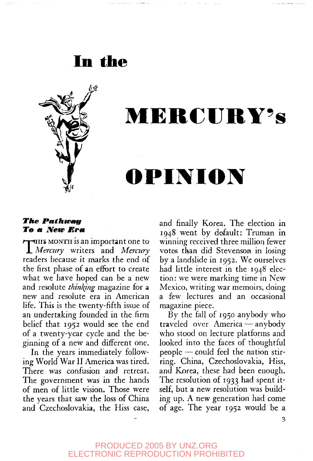



# **MERCURY'S**

### **OPINION**

#### *The Pathway To a, New Bra,*

**THIS MONTH** is an important one to JL *Mercury* writers and *Mercury* readers because it marks the end of the first phase of an effort to create what we have hoped can be a new and resolute *thinking* magazine for a new and resolute era in American life. This is the twenty-fifth issue of an undertaking founded in the firm belief that 1952 would see the end of a twenty-year cycle and the beginning of a new and different one.

In the years immediately following World War II America was tired. There was confusion and retreat. The government was in the hands of men of little vision. Those were the years that saw the loss of China and Czechoslovakia, the Hiss case,

and finally Korea. The election in 1948 went by default: Truman in winning received three million fewer votes than did Stevenson in losing by a landslide in 1952. We ourselves had little interest in the 1948 election: we were marking time in New Mexico, writing war memoirs, doing a few lectures and an occasional magazine piece.

By the fall of 1950 anybody who traveled over America — anybody who stood on lecture platforms and looked into the faces of thoughtful people — could feel the nation stirring. China, Czechoslovakia, Hiss, and Korea, these had been enough. The resolution of 1933 had spent itself, but a new resolution was building up. A new generation had come of age. The year 1952 would be a

 $\overline{3}$ 

PRODUCED 2005 BY UNZ.ORG ELECTRONIC REPRODUCTION PROHIBITED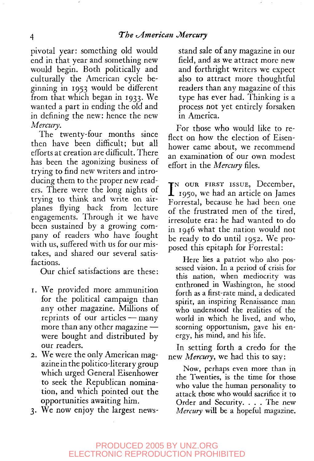pivotal year: something old would end in that year and something new would begin. Both politically and culturally the American cycle beginning in 1953 would be different from that which began in 1933. We wanted a part in ending the old and in defining the new: hence the new *Mercury.*

The twenty-four months since then have been difficult; but all efforts at creation are difficult. There has been the agonizing business of trying to find new writers and introducing them to the proper new readers. There were the long nights of trying to think and write on airplanes flying back from lecture engagements. Through it we have been sustained by a growing company of readers who have fought with us, suffered with us for our mistakes, and shared our several satisfactions.

Our chief satisfactions are these:

- 1. We provided more ammunition for the political campaign than any other magazine. Millions of reprints of our articles — many more than any other magazine were bought and distributed by our readers.
- 2. We were the only American magazine in the politico-literary group which urged General Eisenhower to seek the Republican nomination, and which pointed out the opportunities awaiting him.
- 3. We now enjoy the largest news-

stand sale of any magazine in our field, and as we attract more new and forthright writers we expect also to attract more thoughtful readers than any magazine of this type has ever had. Thinking is a process not yet entirely forsaken in America.

For those who would like to reflect on how the election of Eisenhower came about, we recommend an examination of our own modest effort in the *Mercury* files.

IN OUR FIRST ISSUE, December, 1950, we had an article on James Forrestal, because he had been one of the frustrated men of the tired, irresolute era: he had wanted to do in 1946 what the nation would not be ready to do until 1952. We proposed this epitaph for Forrestal:

Here lies a patriot who also possessed vision. In a period of crisis for this nation, when mediocrity was enthroned in Washington, he stood forth as a first-rate mind, a dedicated spirit, an inspiring Renaissance man who understood the realities of the world in which he lived, and who, scorning opportunism, gave his energy, his mind, and his life.

In setting forth a credo for the new *Mercury,* we had this to say:

Now, perhaps even more than in the Twenties, is the time for those who value the human personality to attack those who would sacrifice it to Order and Security. . . . The new *Mercury* will be a hopeful magazine.

#### PRODUCED 2005 BY UNZ.ORG ELECTRONIC REPRODUCTION PROHIBITED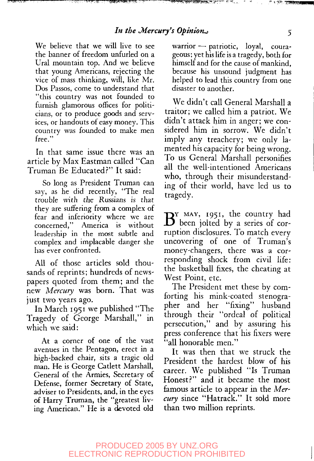We believe that we will live to see the banner of freedom unfurled on a Ural mountain top. And we believe that young Americans, rejecting the vice of mass thinking, will, like Mr. Dos Passos, come to understand that "this country was not founded to furnish glamorous offices for politicians, or to produce goods and services, or handouts of easy money. This country was founded to make men free."

In that same issue there was an article by Max Eastman called "Can Truman Be Educated?" It said:

So long as President Truman can say, as he did recently, "The real trouble with the Russians is that they are suffering from a complex of fear and inferiority where we are concerned," America is without leadership in the most subtle and complex and implacable danger she has ever confronted.

All of those articles sold thousands of reprints; hundreds of newspapers quoted from them; and the new *Mercury* was born. That was just two years ago.

**In** March 1951 we published "The Tragedy of George Marshall," in which we said:

At a corner of one of the vast avenues in the Pentagon, erect in a high-backed chair, sits a tragic old man. He is George Catlett Marshall, General of the Armies, Secretary of Defense, former Secretary of State, adviser to Presidents, and, in the eyes of Harry Truman, the "greatest living American." He is a devoted old

warrior — patriotic, loyal, courageous; yet his life is a tragedy, both for himself and for the cause of mankind, because his unsound judgment has helped to lead this country from one disaster to another.

We didn't call General Marshall a traitor; we called him a patriot. We didn't attack him in anger; we considered him in sorrow. We didn't imply any treachery; we only lamented his capacity for being wrong. To us General Marshall personifies all the well-intentioned Americans who, through their misunderstanding of their world, have led us to tragedy.

 $B^{Y_{\text{MAX, 1951, the country had}}}$ been jolted by a series of corruption disclosures. To match every uncovering of one of Truman's money-changers, there was a corresponding shock from civil life: the basketball fixes, the cheating at West Point, etc.

The President met these by comforting his mink-coated stenographer and her "fixing" husband through their "ordeal of political persecution," and by assuring his press conference that his fixers were "all honorable men."

It was then that we struck the President the hardest blow of his career. We published "Is Truman Honest?" and it became the most famous article to appear in the *Mercury* since "Hatrack." It sold more than two million reprints.

 $\mathbb{C} \times \mathbb{R}^n$  , whereas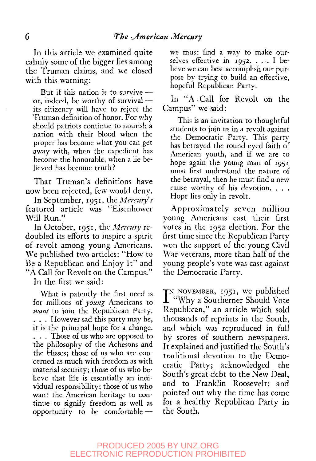In this article we examined quite calmly some of the bigger lies among the Truman claims, and we closed with this warning:

But if this nation is to survive or, indeed, be worthy of survival its citizenry will have to reject the Truman definition of honor. For why should patriots continue to nourish a nation with their blood when the proper has become what you can get away with, when the expedient has become the honorable, when a lie believed has become truth?

That Truman's definitions have now been rejected, few would deny.

In September, 1951, the *Mercury's* featured article was "Eisenhower Will Run."

In October, 1951, the *Mercury* redoubled its efforts to inspire a spirit of revolt among young Americans. We published two articles: "How to Be a Republican and Enjoy It" and "A Call for Revolt on the Campus."

In the first we said:

What is patently the first need is for millions of *young* Americans to *want* to join the Republican Party. . . . However sad this party may be, it is the principal hope for a change. . . . Those of us who are opposed to the philosophy of the Achesons and the Hisses; those of us who are concerned as much with freedom as with material security; those of us who believe that life is essentially an individual responsibility; those of us who want the American heritage to continue to signify freedom as well as opportunity to be comfortable —

we must find a way to make ourselves effective in  $1952. \ldots$  I believe we can best accomplish our purpose by trying to build an effective, hopeful Republican Party.

In "A.Call for Revolt on the Campus" we said:

This is an invitation to thoughtful students to join us in a revolt against the Democratic Party. This party has betrayed the round-eyed faith of American youth, and if we are to hope again the young man of 1951 must first understand the nature of the betrayal, then he must find a new cause worthy of his devotion. . . . Hope lies only in revolt.

Approximately seven million young Americans cast their first votes in the 1952 election. For the first time since the Republican Party won the support of the young Civil War veterans, more than half of the young people's vote was cast against the Democratic Party.

I<sup>N</sup> NOVEMBER, 1951, we published<br>
"Why a Southerner Should Vote "Why a Southerner Should Vote Republican," an article which sold thousands of reprints in the South, and which was reproduced in full by scores of southern newspapers. It explained and justified the South's traditional devotion to the Democratic Party; acknowledged the South's great debt to the New Deal, and to Franklin Roosevelt; and pointed out why the time has come for a healthy Republican Party in the South.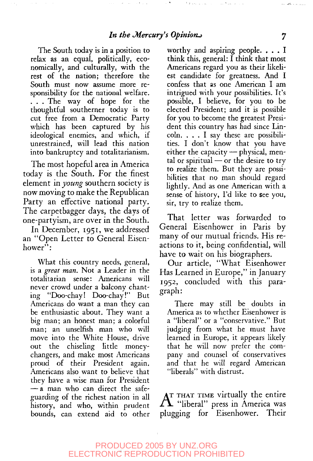The South today is in a position to relax as an equal, politically, economically, and culturally, with the rest of the nation; therefore the South must now assume more responsibility for the national welfare. . . . The way of hope for the thoughtful southerner today is to cut free from a Democratic Party which has been captured by his ideological enemies, and which, if unrestrained, will lead this nation into bankruptcy and totalitarianism.

The most hopeful area in America today is the South. For the finest element *m young* southern society is now moving to make the Republican Party an effective national party. The carpetbagger days, the days of one-partyism, are over in the South.

In December, 1951, we addressed an "Open Letter to General Eisenhower":

What this country needs, general, is a *great man.* Not a Leader in the totalitarian sense: Americans will never crowd under a balcony chanting "Doo-chay! Doo-chay!" But Americans do want a man they can be enthusiastic about. They want a big man; an honest man; a colorful man; an unselfish man who will move into the White House, drive out the chiseling little moneychangers, and make most Americans proud of their President again. Americans also want to believe that they have a wise man for President — a man who can direct the safeguarding of the richest nation in all history, and who, within prudent bounds, can extend aid to other

worthy and aspiring people. . . . I think this, general: I think that most Americans regard you as their likeliest candidate for greatness. And I confess that as one American I am intrigued with your possibilities. It's possible, I believe, for you to be elected President; and it is possible for you to become the greatest President this country has had since Lincoln. .. . I say these are possibilities. I don't know that you have either the capacity — physical, mental or spiritual  $-$  or the desire to try to realize them. But they are possibilities that no man should regard lightly. And as one American with a sense of history, I'd like to see you, sir, try to realize them.

That letter was forwarded to General Eisenhower in Paris by many of our mutual friends. His reactions to it, being confidential, will have to wait on his biographers.

Our article, "What Eisenhower Has Learned in Europe," in January 1952, concluded with this paragraph:

There may still be doubts in America as to whether Eisenhower is a "liberal" or a "conservative." But judging from what he must have learned in Europe, it appears likely that he will now prefer the company and counsel of conservatives and that he will regard American "liberals" with distrust.

 $\rm A$  "That time virtually the entire<br> $\rm A$  "liberal" press in America was THAT TIME virtually the entire plugging for Eisenhower. Their

للمستحدة وأطالب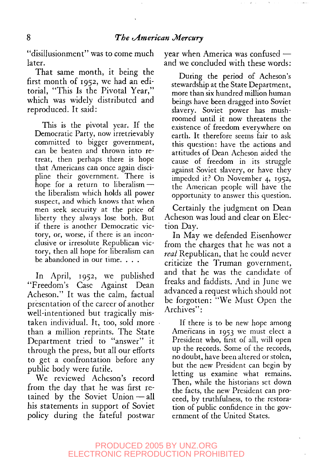"disillusionment" was to come much later.

That same month, it being the first month of 1952, we had an editorial, "This Is the Pivotal Year," which was widely distributed and reproduced. It said:

This is the pivotal year. If the Democratic Party, now irretrievably committed to bigger government, can be beaten and thrown into retreat, then perhaps there is hope that Americans can once again discipline their government. There is hope for a return to liberalism the liberalism which holds all power suspect, and which knows that when men seek security at the price of liberty they always lose both. But if there is another Democratic victory, or, worse, if there is an inconclusive or irresolute Republican victory, then all hope for liberalism can be abandoned in our time. . . .

In April, 1952, we published "Freedom's Case Against Dean Acheson." It was the calm, factual presentation of the career of another well-intentioned but tragically mistaken individual. It, too, sold more than a million reprints. The State Department tried to "answer" it through the press, but all our efforts to get a confrontation before any public body were futile.

We reviewed Acheson's record from the day that he was first retained by the Soviet Union — all his statements in support of Soviet policy during the fateful postwar year when America was confused and we concluded with these words:

During the period of Acheson's stewardship at the State Department, more than six hundred million human beings have been dragged into Soviet slavery. Soviet power has mushroomed until it now threatens the existence of freedom everywhere on earth. It therefore seems fair to ask this question: have the actions and attitudes of Dean Acheson aided the cause of freedom in its struggle against Soviet slavery, or have they impeded it? On November 4, 1952, the American people will have the opportunity to answer this question.

Certainly the judgment on Dean Acheson was loud and clear on Election Day.

In May we defended Eisenhower from the charges that he was not a *real* Republican, that he could never criticize the Truman government, and that he was the candidate of freaks and faddists. And in June we advanced a request which should not be forgotten: "We Must Open the Archives":

If there is to be new hope among Americans in 1953 we must elect a President who, first of all, will open up the records. Some of the records, no doubt, have been altered or stolen, but the new President can begin by letting us examine what remains. Then, while the historians set down the facts, the new President can proceed, by truthfulness, to the restoration of public confidence in the government of the United States.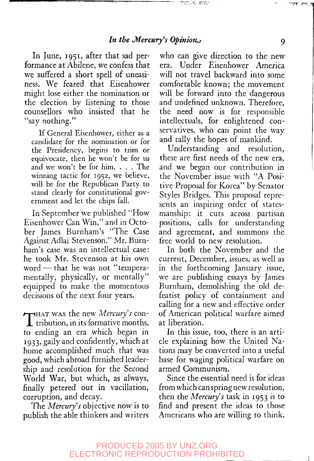$\overline{\mathbb{C}^{\bullet} \times_{\mathcal{S}} \mathcal{S}^{\bullet} \times_{\mathcal{S}} \mathcal{S}^{\bullet}} \times \overline{\mathbb{C}^{\bullet} \times_{\mathcal{S}} \mathcal{S}^{\bullet}}$ 

In June, 1951, after that sad performance at Abilene, we confess that we suffered a short spell of uneasiness. We feared that Eisenhower might lose either the nomination or the election by listening to those counsellors who insisted that he "say nothing."

If General Eisenhower, either as a candidate for the nomination or for the Presidency, begins to trim or equivocate, then he won't be for us and we won't be for him. . . . The winning tactic for 1952, we believe, will be for the Republican Party to stand clearly for constitutional government and let the chips fall.

In September we published "How Eisenhower Can Win," and in October James Burnham's "The Case Against Adlai Stevenson." Mr. Burnham's case was an intellectual case: he took Mr. Stevenson at his own word — that he was not "temperamentally, physically, or mentally" equipped to make the momentous decisions of the next four years.

T<sub>HAT</sub> was the new *Mercury's* con-<br>tribution, in its formative months, **1** tribution, in its formative months, to ending an era which began in 1933, gaily and confidently, which at home accomplished much that was good, which abroad furnished leadership and resolution for the Second World War, but which, as always, finally petered out in vacillation, corruption, and decay.

The *Mercury s* objective now is to publish the able thinkers and writers

who can give direction to the new era. Under Eisenhower America will not travel backward into some comfortable known; the movement will be forward into the dangerous and undefined unknown. Therefore, the need now is for responsible intellectuals, for enlightened conservatives, who can point the way and rally the hopes of mankind.

Understanding and resolution, these are first needs of the new era, and we began our contribution in the November issue with "A Positive Proposal for Korea" by Senator Styles Bridges. This proposal represents an inspiring order of statesmanship: it cuts across partisan positions, calls for understanding and agreement, and summons the free world to new resolution.

In both the November and the current, December, issues, as well as in the forthcoming January issue, we are publishing essays by James Burnham, demolishing the old defeatist policy of containment and calling for a new and effective order of American political warfare aimed at liberation.

In this issue, too, there is an article explaining how the United Nations may be converted into a useful base for waging political warfare on armed Communism.

Since the essential need is for ideas from which can spring new resolu tion, then the *Mercury's* task in 1953 is to find and present the ideas to those Americans who are willing to think.